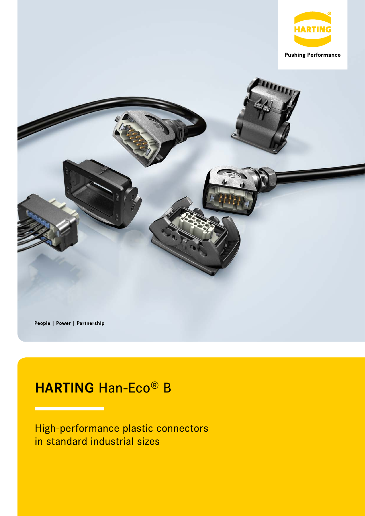

People | Power | Partnership

# **HARTING** Han-Eco® B

High-performance plastic connectors in standard industrial sizes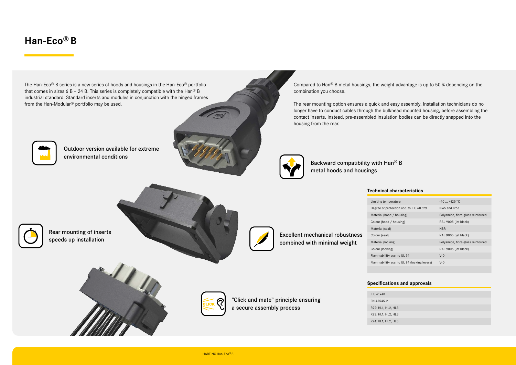Compared to Han® B metal housings, the weight advantage is up to 50 % depending on the combination you choose.

The rear mounting option ensures a quick and easy assembly. Installation technicians do no longer have to conduct cables through the bulkhead mounted housing, before assembling the contact inserts. Instead, pre-assembled insulation bodies can be directly snapped into the housing from the rear.



### **Technical characteristics**

| erature                        | $-40$ +125 °C                     |
|--------------------------------|-----------------------------------|
| tection acc. to IEC 60 529     | IP65 and IP66                     |
| d / housing                    | Polyamide, fibre-glass reinforced |
| / housing)                     | RAL 9005 (jet black)              |
|                                | <b>NBR</b>                        |
|                                | RAL 9005 (jet black)              |
| ing)                           | Polyamide, fibre-glass reinforced |
| າg)                            | RAL 9005 (jet black)              |
| acc. to UL 94                  | $V - 0$                           |
| acc. to UL 94 (locking levers) | $V - Q$                           |
|                                |                                   |

## **Han-Eco® B**

### **Specifications and approvals**

| 2, HL3 |  |  |  |
|--------|--|--|--|
| 2, HL3 |  |  |  |
| 2, HL3 |  |  |  |
|        |  |  |  |

IEC 61948 EN 45545-2 R22: HL1, HL2, HL3 R23: HL1, HL2, HL3 R24: HL1, HL2, HL3



Outdoor version available for extreme environmental conditions



Backward compatibility with Han® B metal hoods and housings

Excellent mechanical robustness combined with minimal weight

Limiting temp Degree of pro Material (hod Colour (hood Material (sea Colour (seal) Material (lock Colour (locking) Flammabillity Flammabillity

Rear mounting of inserts speeds up installation





"Click and mate" principle ensuring a secure assembly process

The Han-Eco® B series is a new series of hoods and housings in the Han-Eco® portfolio that comes in sizes 6 B - 24 B. This series is completely compatible with the Han® B industrial standard. Standard inserts and modules in conjunction with the hinged frames from the Han-Modular® portfolio may be used.